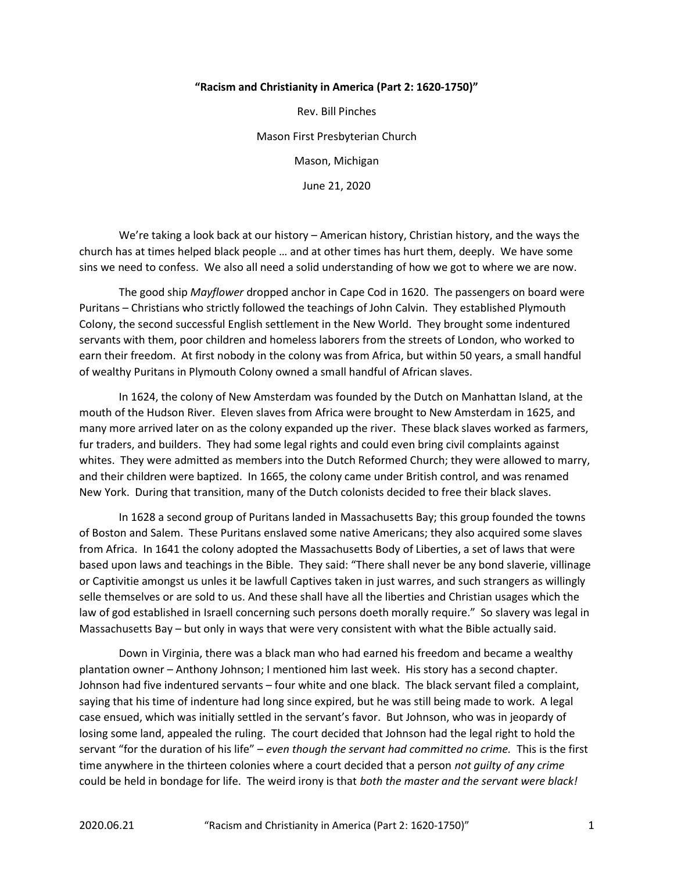## "Racism and Christianity in America (Part 2: 1620-1750)"

Rev. Bill Pinches Mason First Presbyterian Church Mason, Michigan June 21, 2020

 We're taking a look back at our history – American history, Christian history, and the ways the church has at times helped black people … and at other times has hurt them, deeply. We have some sins we need to confess. We also all need a solid understanding of how we got to where we are now.

The good ship Mayflower dropped anchor in Cape Cod in 1620. The passengers on board were Puritans – Christians who strictly followed the teachings of John Calvin. They established Plymouth Colony, the second successful English settlement in the New World. They brought some indentured servants with them, poor children and homeless laborers from the streets of London, who worked to earn their freedom. At first nobody in the colony was from Africa, but within 50 years, a small handful of wealthy Puritans in Plymouth Colony owned a small handful of African slaves.

 In 1624, the colony of New Amsterdam was founded by the Dutch on Manhattan Island, at the mouth of the Hudson River. Eleven slaves from Africa were brought to New Amsterdam in 1625, and many more arrived later on as the colony expanded up the river. These black slaves worked as farmers, fur traders, and builders. They had some legal rights and could even bring civil complaints against whites. They were admitted as members into the Dutch Reformed Church; they were allowed to marry, and their children were baptized. In 1665, the colony came under British control, and was renamed New York. During that transition, many of the Dutch colonists decided to free their black slaves.

 In 1628 a second group of Puritans landed in Massachusetts Bay; this group founded the towns of Boston and Salem. These Puritans enslaved some native Americans; they also acquired some slaves from Africa. In 1641 the colony adopted the Massachusetts Body of Liberties, a set of laws that were based upon laws and teachings in the Bible. They said: "There shall never be any bond slaverie, villinage or Captivitie amongst us unles it be lawfull Captives taken in just warres, and such strangers as willingly selle themselves or are sold to us. And these shall have all the liberties and Christian usages which the law of god established in Israell concerning such persons doeth morally require." So slavery was legal in Massachusetts Bay – but only in ways that were very consistent with what the Bible actually said.

 Down in Virginia, there was a black man who had earned his freedom and became a wealthy plantation owner – Anthony Johnson; I mentioned him last week. His story has a second chapter. Johnson had five indentured servants – four white and one black. The black servant filed a complaint, saying that his time of indenture had long since expired, but he was still being made to work. A legal case ensued, which was initially settled in the servant's favor. But Johnson, who was in jeopardy of losing some land, appealed the ruling. The court decided that Johnson had the legal right to hold the servant "for the duration of his life" – even though the servant had committed no crime. This is the first time anywhere in the thirteen colonies where a court decided that a person not quilty of any crime could be held in bondage for life. The weird irony is that both the master and the servant were black!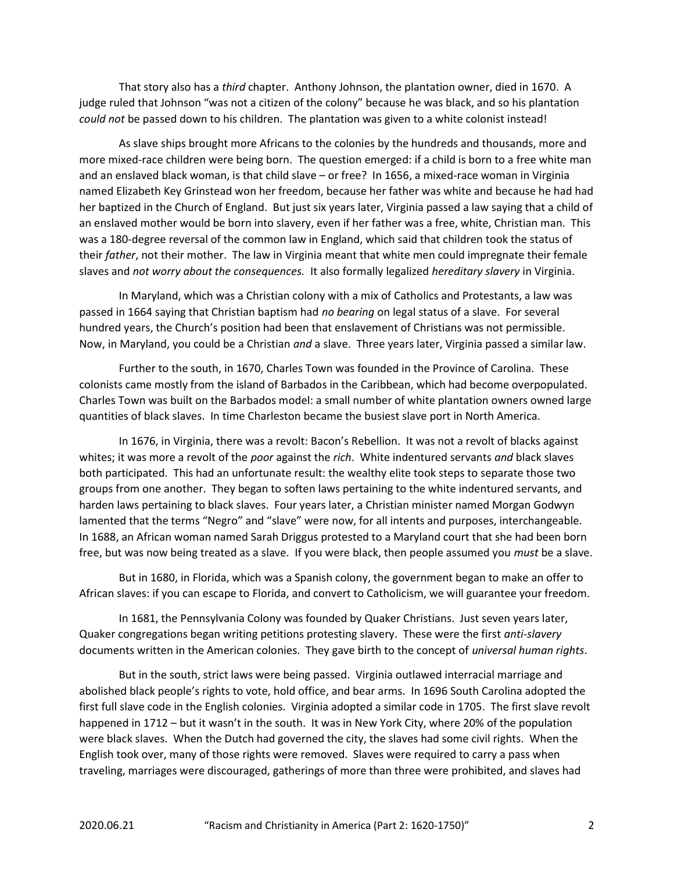That story also has a *third* chapter. Anthony Johnson, the plantation owner, died in 1670. A judge ruled that Johnson "was not a citizen of the colony" because he was black, and so his plantation could not be passed down to his children. The plantation was given to a white colonist instead!

 As slave ships brought more Africans to the colonies by the hundreds and thousands, more and more mixed-race children were being born. The question emerged: if a child is born to a free white man and an enslaved black woman, is that child slave – or free? In 1656, a mixed-race woman in Virginia named Elizabeth Key Grinstead won her freedom, because her father was white and because he had had her baptized in the Church of England. But just six years later, Virginia passed a law saying that a child of an enslaved mother would be born into slavery, even if her father was a free, white, Christian man. This was a 180-degree reversal of the common law in England, which said that children took the status of their father, not their mother. The law in Virginia meant that white men could impregnate their female slaves and not worry about the consequences. It also formally legalized hereditary slavery in Virginia.

 In Maryland, which was a Christian colony with a mix of Catholics and Protestants, a law was passed in 1664 saying that Christian baptism had no bearing on legal status of a slave. For several hundred years, the Church's position had been that enslavement of Christians was not permissible. Now, in Maryland, you could be a Christian and a slave. Three years later, Virginia passed a similar law.

 Further to the south, in 1670, Charles Town was founded in the Province of Carolina. These colonists came mostly from the island of Barbados in the Caribbean, which had become overpopulated. Charles Town was built on the Barbados model: a small number of white plantation owners owned large quantities of black slaves. In time Charleston became the busiest slave port in North America.

 In 1676, in Virginia, there was a revolt: Bacon's Rebellion. It was not a revolt of blacks against whites; it was more a revolt of the poor against the rich. White indentured servants and black slaves both participated. This had an unfortunate result: the wealthy elite took steps to separate those two groups from one another. They began to soften laws pertaining to the white indentured servants, and harden laws pertaining to black slaves. Four years later, a Christian minister named Morgan Godwyn lamented that the terms "Negro" and "slave" were now, for all intents and purposes, interchangeable. In 1688, an African woman named Sarah Driggus protested to a Maryland court that she had been born free, but was now being treated as a slave. If you were black, then people assumed you must be a slave.

 But in 1680, in Florida, which was a Spanish colony, the government began to make an offer to African slaves: if you can escape to Florida, and convert to Catholicism, we will guarantee your freedom.

 In 1681, the Pennsylvania Colony was founded by Quaker Christians. Just seven years later, Quaker congregations began writing petitions protesting slavery. These were the first anti-slavery documents written in the American colonies. They gave birth to the concept of universal human rights.

 But in the south, strict laws were being passed. Virginia outlawed interracial marriage and abolished black people's rights to vote, hold office, and bear arms. In 1696 South Carolina adopted the first full slave code in the English colonies. Virginia adopted a similar code in 1705. The first slave revolt happened in 1712 – but it wasn't in the south. It was in New York City, where 20% of the population were black slaves. When the Dutch had governed the city, the slaves had some civil rights. When the English took over, many of those rights were removed. Slaves were required to carry a pass when traveling, marriages were discouraged, gatherings of more than three were prohibited, and slaves had